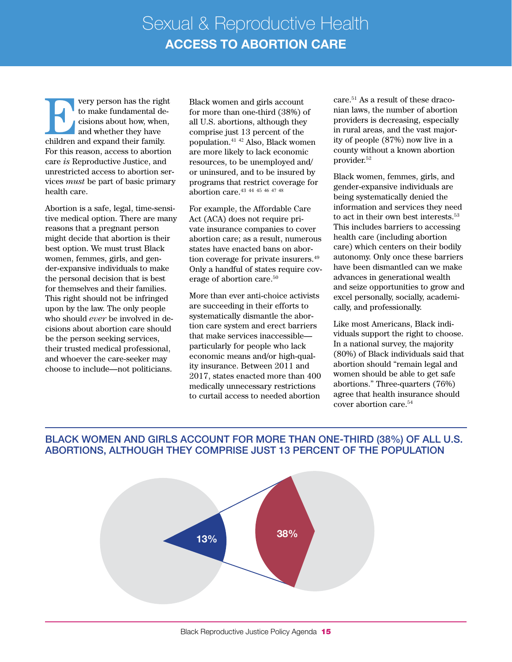**EVERTU EVERTU EVERTU AND THE REV** to make fundamental decisions about how, when, and whether they have children and expand their family. to make fundamental decisions about how, when, and whether they have For this reason, access to abortion care *is* Reproductive Justice, and unrestricted access to abortion services *must* be part of basic primary health care.

Abortion is a safe, legal, time-sensitive medical option. There are many reasons that a pregnant person might decide that abortion is their best option. We must trust Black women, femmes, girls, and gender-expansive individuals to make the personal decision that is best for themselves and their families. This right should not be infringed upon by the law. The only people who should *ever* be involved in decisions about abortion care should be the person seeking services, their trusted medical professional, and whoever the care-seeker may choose to include—not politicians.

Black women and girls account for more than one-third (38%) of all U.S. abortions, although they comprise just 13 percent of the population.41 <sup>42</sup> Also, Black women are more likely to lack economic resources, to be unemployed and/ or uninsured, and to be insured by programs that restrict coverage for abortion care.43 <sup>44</sup> <sup>45</sup> <sup>46</sup> <sup>47</sup> <sup>48</sup>

For example, the Affordable Care Act (ACA) does not require private insurance companies to cover abortion care; as a result, numerous states have enacted bans on abortion coverage for private insurers.49 Only a handful of states require coverage of abortion care.50

More than ever anti-choice activists are succeeding in their efforts to systematically dismantle the abortion care system and erect barriers that make services inaccessible particularly for people who lack economic means and/or high-quality insurance. Between 2011 and 2017, states enacted more than 400 medically unnecessary restrictions to curtail access to needed abortion

care.51 As a result of these draconian laws, the number of abortion providers is decreasing, especially in rural areas, and the vast majority of people (87%) now live in a county without a known abortion provider.52

Black women, femmes, girls, and gender-expansive individuals are being systematically denied the information and services they need to act in their own best interests.53 This includes barriers to accessing health care (including abortion care) which centers on their bodily autonomy. Only once these barriers have been dismantled can we make advances in generational wealth and seize opportunities to grow and excel personally, socially, academically, and professionally.

Like most Americans, Black individuals support the right to choose. In a national survey, the majority (80%) of Black individuals said that abortion should "remain legal and women should be able to get safe abortions." Three-quarters (76%) agree that health insurance should cover abortion care.54

## BLACK WOMEN AND GIRLS ACCOUNT FOR MORE THAN ONE-THIRD (38%) OF ALL U.S. ABORTIONS, ALTHOUGH THEY COMPRISE JUST 13 PERCENT OF THE POPULATION

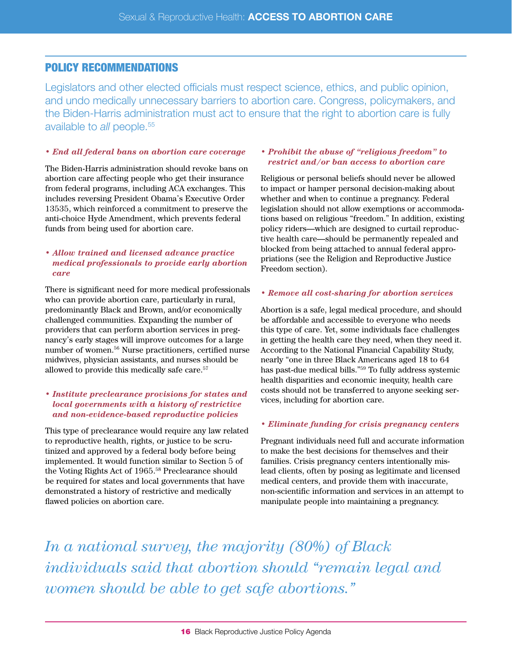# POLICY RECOMMENDATIONS

Legislators and other elected officials must respect science, ethics, and public opinion, and undo medically unnecessary barriers to abortion care. Congress, policymakers, and the Biden-Harris administration must act to ensure that the right to abortion care is fully available to *all* people. 55

#### *• End all federal bans on abortion care coverage*

The Biden-Harris administration should revoke bans on abortion care affecting people who get their insurance from federal programs, including ACA exchanges. This includes reversing President Obama's Executive Order 13535, which reinforced a commitment to preserve the anti-choice Hyde Amendment, which prevents federal funds from being used for abortion care.

#### *• Allow trained and licensed advance practice medical professionals to provide early abortion care*

There is significant need for more medical professionals who can provide abortion care, particularly in rural, predominantly Black and Brown, and/or economically challenged communities. Expanding the number of providers that can perform abortion services in pregnancy's early stages will improve outcomes for a large number of women.56 Nurse practitioners, certified nurse midwives, physician assistants, and nurses should be allowed to provide this medically safe care.57

### *• Institute preclearance provisions for states and local governments with a history of restrictive and non-evidence-based reproductive policies*

This type of preclearance would require any law related to reproductive health, rights, or justice to be scrutinized and approved by a federal body before being implemented. It would function similar to Section 5 of the Voting Rights Act of 1965.<sup>58</sup> Preclearance should be required for states and local governments that have demonstrated a history of restrictive and medically flawed policies on abortion care.

#### *• Prohibit the abuse of "religious freedom" to restrict and/or ban access to abortion care*

Religious or personal beliefs should never be allowed to impact or hamper personal decision-making about whether and when to continue a pregnancy. Federal legislation should not allow exemptions or accommodations based on religious "freedom." In addition, existing policy riders—which are designed to curtail reproductive health care—should be permanently repealed and blocked from being attached to annual federal appropriations (see the Religion and Reproductive Justice Freedom section).

#### *• Remove all cost-sharing for abortion services*

Abortion is a safe, legal medical procedure, and should be affordable and accessible to everyone who needs this type of care. Yet, some individuals face challenges in getting the health care they need, when they need it. According to the National Financial Capability Study, nearly "one in three Black Americans aged 18 to 64 has past-due medical bills."59 To fully address systemic health disparities and economic inequity, health care costs should not be transferred to anyone seeking services, including for abortion care.

## *• Eliminate funding for crisis pregnancy centers*

Pregnant individuals need full and accurate information to make the best decisions for themselves and their families. Crisis pregnancy centers intentionally mislead clients, often by posing as legitimate and licensed medical centers, and provide them with inaccurate, non-scientific information and services in an attempt to manipulate people into maintaining a pregnancy.

*In a national survey, the majority (80%) of Black individuals said that abortion should "remain legal and women should be able to get safe abortions."*